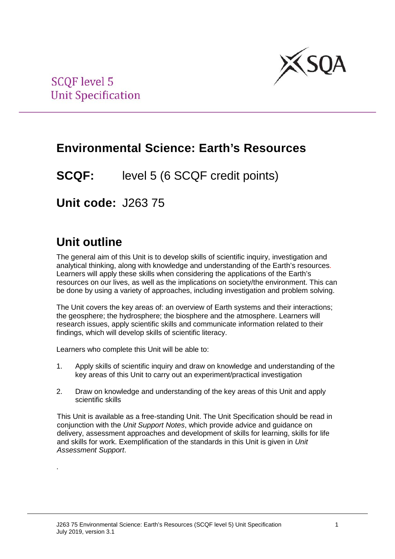

# **Environmental Science: Earth's Resources**

**SCQF:** level 5 (6 SCQF credit points)

**Unit code:** J263 75

# **Unit outline**

.

The general aim of this Unit is to develop skills of scientific inquiry, investigation and analytical thinking, along with knowledge and understanding of the Earth's resources. Learners will apply these skills when considering the applications of the Earth's resources on our lives, as well as the implications on society/the environment. This can be done by using a variety of approaches, including investigation and problem solving.

The Unit covers the key areas of: an overview of Earth systems and their interactions; the geosphere; the hydrosphere; the biosphere and the atmosphere. Learners will research issues, apply scientific skills and communicate information related to their findings, which will develop skills of scientific literacy.

Learners who complete this Unit will be able to:

- 1. Apply skills of scientific inquiry and draw on knowledge and understanding of the key areas of this Unit to carry out an experiment/practical investigation
- 2. Draw on knowledge and understanding of the key areas of this Unit and apply scientific skills

This Unit is available as a free-standing Unit. The Unit Specification should be read in conjunction with the *Unit Support Notes*, which provide advice and guidance on delivery, assessment approaches and development of skills for learning, skills for life and skills for work. Exemplification of the standards in this Unit is given in *Unit Assessment Support*.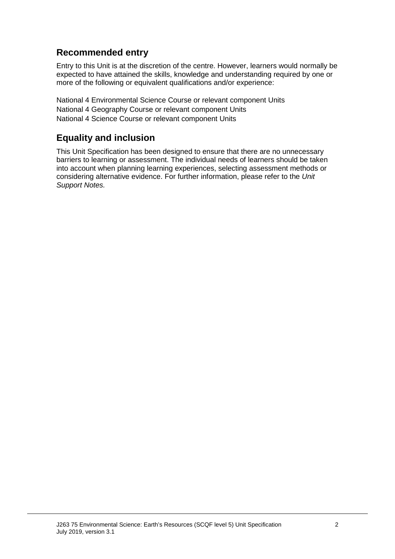# **Recommended entry**

Entry to this Unit is at the discretion of the centre. However, learners would normally be expected to have attained the skills, knowledge and understanding required by one or more of the following or equivalent qualifications and/or experience:

National 4 Environmental Science Course or relevant component Units National 4 Geography Course or relevant component Units National 4 Science Course or relevant component Units

## **Equality and inclusion**

This Unit Specification has been designed to ensure that there are no unnecessary barriers to learning or assessment. The individual needs of learners should be taken into account when planning learning experiences, selecting assessment methods or considering alternative evidence. For further information, please refer to the *Unit Support Notes.*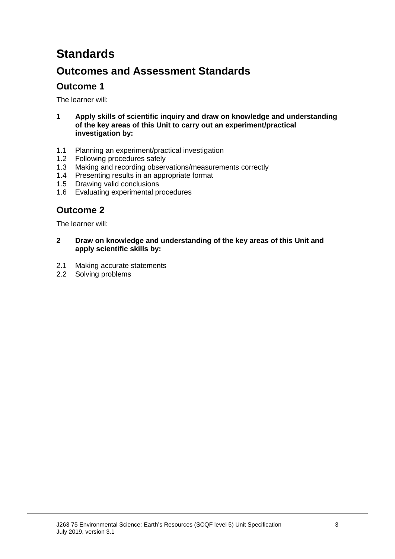# **Standards**

# **Outcomes and Assessment Standards**

# **Outcome 1**

The learner will:

- **1 Apply skills of scientific inquiry and draw on knowledge and understanding of the key areas of this Unit to carry out an experiment/practical investigation by:**
- 1.1 Planning an experiment/practical investigation
- 1.2 Following procedures safely<br>1.3 Making and recording obser
- Making and recording observations/measurements correctly
- 1.4 Presenting results in an appropriate format
- 1.5 Drawing valid conclusions
- 1.6 Evaluating experimental procedures

## **Outcome 2**

The learner will:

- **2 Draw on knowledge and understanding of the key areas of this Unit and apply scientific skills by:**
- 2.1 Making accurate statements
- 2.2 Solving problems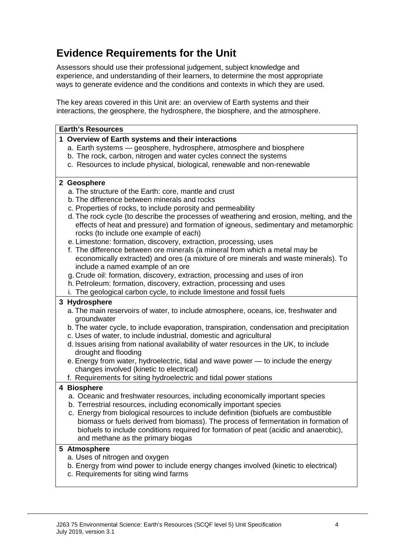# **Evidence Requirements for the Unit**

Assessors should use their professional judgement, subject knowledge and experience, and understanding of their learners, to determine the most appropriate ways to generate evidence and the conditions and contexts in which they are used.

The key areas covered in this Unit are: an overview of Earth systems and their interactions, the geosphere, the hydrosphere, the biosphere, and the atmosphere.

#### **Earth's Resources**

#### **1 Overview of Earth systems and their interactions**

- a. Earth systems geosphere, hydrosphere, atmosphere and biosphere
- b. The rock, carbon, nitrogen and water cycles connect the systems
- c. Resources to include physical, biological, renewable and non-renewable

#### **2 Geosphere**

- a. The structure of the Earth: core, mantle and crust
- b. The difference between minerals and rocks
- c. Properties of rocks, to include porosity and permeability
- d. The rock cycle (to describe the processes of weathering and erosion, melting, and the effects of heat and pressure) and formation of igneous, sedimentary and metamorphic rocks (to include one example of each)
- e. Limestone: formation, discovery, extraction, processing, uses
- f. The difference between ore minerals (a mineral from which a metal may be economically extracted) and ores (a mixture of ore minerals and waste minerals). To include a named example of an ore
- g. Crude oil: formation, discovery, extraction, processing and uses of iron
- h. Petroleum: formation, discovery, extraction, processing and uses
- i. The geological carbon cycle, to include limestone and fossil fuels

## **3 Hydrosphere**

- a. The main reservoirs of water, to include atmosphere, oceans, ice, freshwater and groundwater
- b. The water cycle, to include evaporation, transpiration, condensation and precipitation
- c. Uses of water, to include industrial, domestic and agricultural
- d. Issues arising from national availability of water resources in the UK, to include drought and flooding
- e. Energy from water, hydroelectric, tidal and wave power to include the energy changes involved (kinetic to electrical)
- f. Requirements for siting hydroelectric and tidal power stations

## **4 Biosphere**

- a. Oceanic and freshwater resources, including economically important species
- b. Terrestrial resources, including economically important species
- c. Energy from biological resources to include definition (biofuels are combustible biomass or fuels derived from biomass). The process of fermentation in formation of biofuels to include conditions required for formation of peat (acidic and anaerobic), and methane as the primary biogas

#### **5 Atmosphere**

- a. Uses of nitrogen and oxygen
- b. Energy from wind power to include energy changes involved (kinetic to electrical)
- c. Requirements for siting wind farms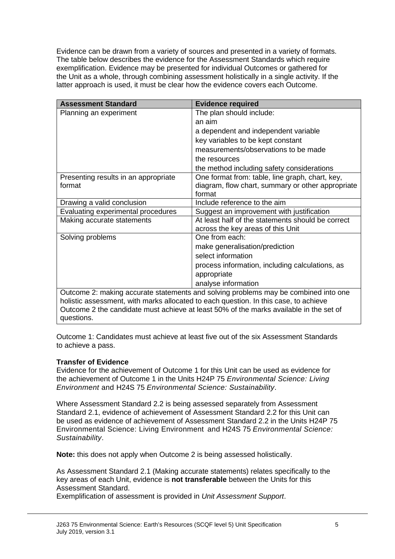Evidence can be drawn from a variety of sources and presented in a variety of formats. The table below describes the evidence for the Assessment Standards which require exemplification. Evidence may be presented for individual Outcomes or gathered for the Unit as a whole, through combining assessment holistically in a single activity. If the latter approach is used, it must be clear how the evidence covers each Outcome.

| <b>Assessment Standard</b>                                                             | <b>Evidence required</b>                          |  |  |
|----------------------------------------------------------------------------------------|---------------------------------------------------|--|--|
| Planning an experiment                                                                 | The plan should include:                          |  |  |
|                                                                                        | an aim                                            |  |  |
|                                                                                        | a dependent and independent variable              |  |  |
|                                                                                        | key variables to be kept constant                 |  |  |
|                                                                                        | measurements/observations to be made              |  |  |
|                                                                                        | the resources                                     |  |  |
|                                                                                        | the method including safety considerations        |  |  |
| Presenting results in an appropriate                                                   | One format from: table, line graph, chart, key,   |  |  |
| format                                                                                 | diagram, flow chart, summary or other appropriate |  |  |
|                                                                                        | format                                            |  |  |
| Drawing a valid conclusion                                                             | Include reference to the aim                      |  |  |
| Evaluating experimental procedures                                                     | Suggest an improvement with justification         |  |  |
| Making accurate statements                                                             | At least half of the statements should be correct |  |  |
|                                                                                        | across the key areas of this Unit                 |  |  |
| Solving problems                                                                       | One from each:                                    |  |  |
|                                                                                        | make generalisation/prediction                    |  |  |
|                                                                                        | select information                                |  |  |
|                                                                                        | process information, including calculations, as   |  |  |
|                                                                                        | appropriate                                       |  |  |
|                                                                                        | analyse information                               |  |  |
| Outcome 2: making accurate statements and solving problems may be combined into one    |                                                   |  |  |
| holistic assessment, with marks allocated to each question. In this case, to achieve   |                                                   |  |  |
| Outcome 2 the candidate must achieve at least 50% of the marks available in the set of |                                                   |  |  |
| questions.                                                                             |                                                   |  |  |

Outcome 1: Candidates must achieve at least five out of the six Assessment Standards to achieve a pass.

#### **Transfer of Evidence**

Evidence for the achievement of Outcome 1 for this Unit can be used as evidence for the achievement of Outcome 1 in the Units H24P 75 *Environmental Science: Living Environment* and H24S 75 *Environmental Science: Sustainability*.

Where Assessment Standard 2.2 is being assessed separately from Assessment Standard 2.1, evidence of achievement of Assessment Standard 2.2 for this Unit can be used as evidence of achievement of Assessment Standard 2.2 in the Units H24P 75 Environmental Science: Living Environment and H24S 75 *Environmental Science: Sustainability*.

**Note:** this does not apply when Outcome 2 is being assessed holistically.

As Assessment Standard 2.1 (Making accurate statements) relates specifically to the key areas of each Unit, evidence is **not transferable** between the Units for this Assessment Standard.

Exemplification of assessment is provided in *Unit Assessment Support*.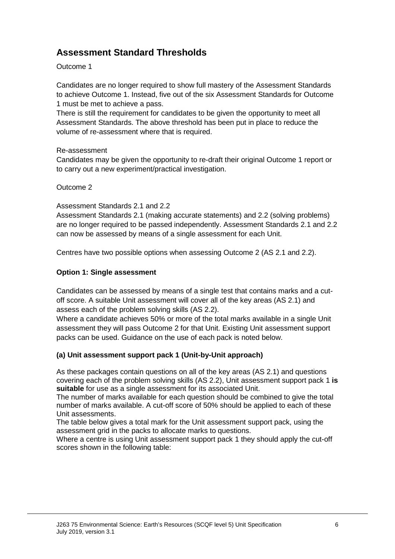# **Assessment Standard Thresholds**

## Outcome 1

Candidates are no longer required to show full mastery of the Assessment Standards to achieve Outcome 1. Instead, five out of the six Assessment Standards for Outcome 1 must be met to achieve a pass.

There is still the requirement for candidates to be given the opportunity to meet all Assessment Standards. The above threshold has been put in place to reduce the volume of re-assessment where that is required.

## Re-assessment

Candidates may be given the opportunity to re-draft their original Outcome 1 report or to carry out a new experiment/practical investigation.

### Outcome 2

### Assessment Standards 2.1 and 2.2

Assessment Standards 2.1 (making accurate statements) and 2.2 (solving problems) are no longer required to be passed independently. Assessment Standards 2.1 and 2.2 can now be assessed by means of a single assessment for each Unit.

Centres have two possible options when assessing Outcome 2 (AS 2.1 and 2.2).

## **Option 1: Single assessment**

Candidates can be assessed by means of a single test that contains marks and a cutoff score. A suitable Unit assessment will cover all of the key areas (AS 2.1) and assess each of the problem solving skills (AS 2.2).

Where a candidate achieves 50% or more of the total marks available in a single Unit assessment they will pass Outcome 2 for that Unit. Existing Unit assessment support packs can be used. Guidance on the use of each pack is noted below.

## **(a) Unit assessment support pack 1 (Unit-by-Unit approach)**

As these packages contain questions on all of the key areas (AS 2.1) and questions covering each of the problem solving skills (AS 2.2), Unit assessment support pack 1 **is suitable** for use as a single assessment for its associated Unit.

The number of marks available for each question should be combined to give the total number of marks available. A cut-off score of 50% should be applied to each of these Unit assessments.

The table below gives a total mark for the Unit assessment support pack, using the assessment grid in the packs to allocate marks to questions.

Where a centre is using Unit assessment support pack 1 they should apply the cut-off scores shown in the following table: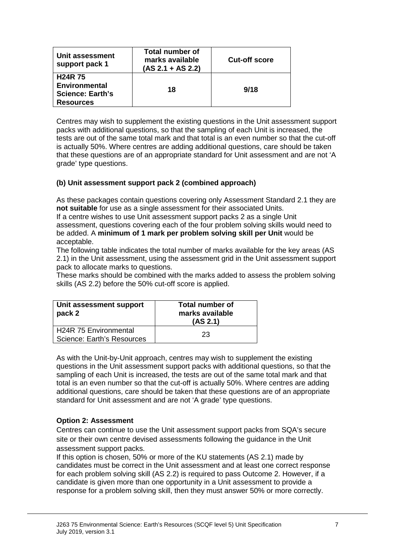| Unit assessment<br>support pack 1                                                    | Total number of<br>marks available<br>$(AS 2.1 + AS 2.2)$ | <b>Cut-off score</b> |
|--------------------------------------------------------------------------------------|-----------------------------------------------------------|----------------------|
| <b>H24R75</b><br><b>Environmental</b><br><b>Science: Earth's</b><br><b>Resources</b> | 18                                                        | 9/18                 |

Centres may wish to supplement the existing questions in the Unit assessment support packs with additional questions, so that the sampling of each Unit is increased, the tests are out of the same total mark and that total is an even number so that the cut-off is actually 50%. Where centres are adding additional questions, care should be taken that these questions are of an appropriate standard for Unit assessment and are not 'A grade' type questions.

## **(b) Unit assessment support pack 2 (combined approach)**

As these packages contain questions covering only Assessment Standard 2.1 they are **not suitable** for use as a single assessment for their associated Units.

If a centre wishes to use Unit assessment support packs 2 as a single Unit assessment, questions covering each of the four problem solving skills would need to be added. A **minimum of 1 mark per problem solving skill per Unit** would be acceptable.

The following table indicates the total number of marks available for the key areas (AS 2.1) in the Unit assessment, using the assessment grid in the Unit assessment support pack to allocate marks to questions.

These marks should be combined with the marks added to assess the problem solving skills (AS 2.2) before the 50% cut-off score is applied.

| Unit assessment support<br>pack 2                          | <b>Total number of</b><br>marks available<br>(AS 2.1) |
|------------------------------------------------------------|-------------------------------------------------------|
| <b>H24R 75 Environmental</b><br>Science: Earth's Resources | 23                                                    |

As with the Unit-by-Unit approach, centres may wish to supplement the existing questions in the Unit assessment support packs with additional questions, so that the sampling of each Unit is increased, the tests are out of the same total mark and that total is an even number so that the cut-off is actually 50%. Where centres are adding additional questions, care should be taken that these questions are of an appropriate standard for Unit assessment and are not 'A grade' type questions.

#### **Option 2: Assessment**

Centres can continue to use the Unit assessment support packs from SQA's secure site or their own centre devised assessments following the guidance in the Unit assessment support packs.

If this option is chosen, 50% or more of the KU statements (AS 2.1) made by candidates must be correct in the Unit assessment and at least one correct response for each problem solving skill (AS 2.2) is required to pass Outcome 2. However, if a candidate is given more than one opportunity in a Unit assessment to provide a response for a problem solving skill, then they must answer 50% or more correctly.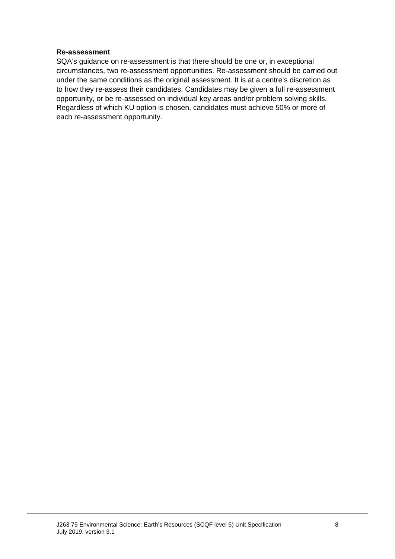#### **Re-assessment**

SQA's guidance on re-assessment is that there should be one or, in exceptional circumstances, two re-assessment opportunities. Re-assessment should be carried out under the same conditions as the original assessment. It is at a centre's discretion as to how they re-assess their candidates. Candidates may be given a full re-assessment opportunity, or be re-assessed on individual key areas and/or problem solving skills. Regardless of which KU option is chosen, candidates must achieve 50% or more of each re-assessment opportunity.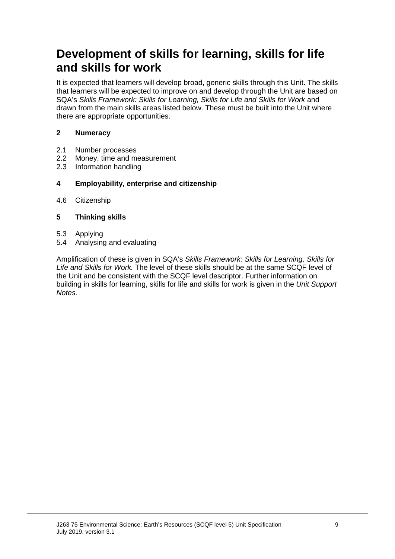# **Development of skills for learning, skills for life and skills for work**

It is expected that learners will develop broad, generic skills through this Unit. The skills that learners will be expected to improve on and develop through the Unit are based on SQA's *Skills Framework: Skills for Learning, Skills for Life and Skills for Work* and drawn from the main skills areas listed below. These must be built into the Unit where there are appropriate opportunities.

## **2 Numeracy**

- 2.1 Number processes<br>2.2 Money, time and m
- Money, time and measurement
- 2.3 Information handling

### **4 Employability, enterprise and citizenship**

4.6 Citizenship

## **5 Thinking skills**

- 5.3 Applying
- 5.4 Analysing and evaluating

Amplification of these is given in SQA's *Skills Framework: Skills for Learning, Skills for Life and Skills for Work.* The level of these skills should be at the same SCQF level of the Unit and be consistent with the SCQF level descriptor. Further information on building in skills for learning, skills for life and skills for work is given in the *Unit Support Notes.*